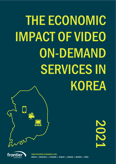# THE ECONOMIC IMPACT OF VIDEO SERVICES IN E ECONOMIC<br>\CT OF VIDEO<br>ON-DEMAND ORES<br>SOER<br>SERVICES<br>SOER THE ECONOMIC IMPACT OF VIDEO KOREA

2021



WWW.FRONTIER-ECONOMICS.COM BERLIN | BRUSSELS | COLOGNE | DUBLIN | LONDON | MADRID | PARIS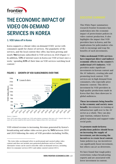

# THE ECONOMIC IMPACT OF VIDEO ON-DEMAND SERVICES IN KOREA

### 1. VOD takes off in Korea

Korea supports a vibrant video on-demand (VOD)\* sector with consumers spoilt for choice of services. The popularity of the services, and the local content they offer, has been growing and nearly 9m Koreans subscribed to VOD services in 2020 (Figure 1).<sup>1</sup> In addition, 53% of internet users in Korea use VOD at least once a week, $\frac{2}{3}$  spending 63% of their time on VOD services watching local content.<sup>3</sup>



### FIGURE 1 GROWTH OF VOD SUBSCRIBERS OVER TIME

*Source: Ampere*

*Note: VOD subscribers include any VOD subscription customers that pay a fee. Launch date is the year the service could be first used in Korea. Figures from 2021 are forecast*

VOD related revenue is increasing. Revenue generated by Korea's broadcasting and online video sector grew by 94% between 2010 and 2019 following the entry of VOD providers including Netflix,

This White Paper summarises research Frontier Economics has undertaken into the economic impact of protectionist policies in video content production. It also highlights the impact that VOD providers have in Korea, and the implications for policymakers who wish to encourage and reap the benefits of such investments.

Video on-demand (VOD) services have important direct and indirect economic effects on the country's audiovisual (AV) industry. VOD providers make significant investments in Korean content and the AV industry, creating jobs and promoting local content. VOD services are in high demand from consumers, who especially prize domestic content. This drives investment by VOD providers in high-quality productions made in Korea that they then showcase to global audiences.

These investments bring benefits to the economy and society more broadly. Investments in training or infrastructure spill over to the AV sector as a whole. They can also spur tourism, enhance Korea's global reputation and support wider social goals.

To promote made-in-Korea productions policies should focus on increasing the supply of investment, not decreasing the incentives to create local content. Some policies (e.g. tax incentives) can significantly boost investment, but others can act as deterrents.

We have found that tough policy restrictions *reduce* broadcasting exports and are associated with lower investment in content.

<sup>\*</sup> The term video on-demand refers to professional and curated online video content and does not include user-generated platforms such as YouTube. Alternative terms can be used to describe video on-demand services, including direct-to-consumer services (DTC) and online curated content (OCC).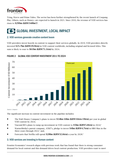

Tving, Wavve and Prime Video. The sector has been further strengthened by the recent launch of Coupang Play. Others, such as Disney+ are expected to launch in 2021. Since 2010, the revenue of VOD services has risen to \$**299m (KRW348bn**4)<sup>5</sup>.

### GLOBAL INVESTMENT, LOCAL IMPACT

### 2. VOD services generate creative content boom

VOD providers invest heavily in content to support their services globally. In 2019, VOD providers directly invested \$25.7bn (KRW29.9trn) in VOD content worldwide, including original and licensed titles. This sum is likely to soar to \$61bn (KRW71.1trn) by 2024.



### FIGURE 2 GLOBAL VOD CONTENT INVESTMENT 2011 TO 2024

*Source: Ampere*

The significant increase in content investment in the pipeline includes:

- The Walt Disney Company's plans to invest \$14bn-16bn (KRW16trn-19trn) per year in global VOD content by 2024;
- ViacomCBS's plans to ramp up investment in VOD content to \$5bn (KRW5.8trn) in 2024;
- WarnerMedia's parent company, AT&T's, pledge to invest **\$4bn (KRW4.7trn)** in HBO Max in the three years through 2022; <sup>7</sup> and,
- Forecasts that Netflix will spend \$28bn (KRW32.6trn) a year by 2028.<sup>8</sup>

### 3. VOD services are investing in Korean content

Frontier Economics' research aligns with previous work that has found that there is strong consumer demand for local content and this demand drives local content production. VOD providers want to meet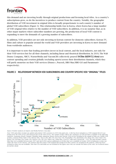

this demand and are investing locally through original productions and licensing local titles. As a country's subscriptions grow, so do the incentives to produce content from the country. Notably, the geographic distribution of VOD investment in original titles is broadly proportionate to each country's number of global VOD subscribers (Figure 3). This relationship holds true in Korea, where Korea has a large number of VOD original titles relative to the number of VOD subscribers. In addition, it is no surprise that, as in other major markets where subscriber numbers are growing, the production of local VOD content is expanding to meet the demands of a growing number of subscribers.

In addition, VOD providers are not only investing in Korean content for domestic subscribers. Korean TV, films and culture is popular around the world and VOD providers are investing in Korea to meet demand from worldwide audiences.

It is important to note that leading providers invest in local content, and the local industry, not only for their VOD services but for all their channels, including linear and theatrical distribution. In 2019, The Walt Disney Company, NBCU, WarnerMedia and ViacomCBS collectively poured \$45bn (KRW52.4trn) into content spending and creation globally (excluding sports) across their distribution channels, which they will partly monetise on their VOD services (Disney+, Peacock, HBO Max/HBO GO and Paramount+ respectively).



#### FIGURE 3 RELATIONSHIP BETWEEN VOD SUBSCRIBERS AND COUNTRY SPECIFIC VOD "ORIGINAL" TITLES

*Source: Frontier analysis of Ampere and Media Partners Asia data*

*Note: VOD subscribers include any global subscription VOD customers in 2019 who paid a fee. A title has been included as a VOD original title if it was produced by the VOD service and released only on the VOD service. The sample of titles reflects the catalogues of VOD providers available in the following countries: Argentina, Brazil, Canada, Colombia, India, Indonesia, Mexico, Korea and Taiwan. VOD services included in the sample of titles are: Netflix (19% of titles), Amazon Prime Video (15%), Hotstar (8%), Wavve (8%), iflix (5%), Eros Now (5%), WatchaPlay (5%), HamiVideo (4%), Hooq (4%), Claro Video (3%), friDay (3%), myVideo (3%), Looke (3%), SonyLiv (2%), VIU (2%). Others (inc. Globo Play, CraveTV, Vidio and Crunchyroll – 11%). The data includes content titles that were available between June 2017 and April 2020, and an additional set of titles that were available in October 2020 in Indonesia, so does not reflect the most recent releases. All countries that have had a VOD original title produced in their country are included in the analysis. China has been excluded as data was not available. Note that USA and India are not included in the figure since they are outside the limits of the scale. See technical annex for further detail.*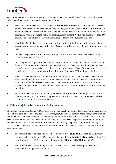

VOD providers have plans for substantial investments in original and licensed titles that will further bolster employment and the creative economy in Korea.

- Netflix has announced that it will spend \$500m (KRW582bn) in 2021 on film and TV series produced in Korea. In the period from 2015 to 2020, Netflix invested \$700m (KRW816bn) to expand its slate of Korean content and established two purpose-built production facilities in the country. As well as acquiring rights to existing Korean content, Netflix has made more than 80 original shows and films locally and has announced more to be released this year.<sup>9</sup>
- In addition, Netflix has signed long-term contracts with Studio Dragon and Jcontentree, two Korean production companies, which over three years will bring more than 40 Korean dramas to Netflix. 10
- Disney+ is expected to launch in Korea this year and has already started to invest in original programmes made in Korea.<sup>11</sup>
- VIU, a regional VOD platform, has announced plans to invest heavily in Korean content due to demands from their subscribers across Southeast Asia. VIU has announced multiple pieces of original Korean content to be released in 2021 including *River Where The Moon Rises*. <sup>12</sup> The VOD provider also recently announced volume deals with five major TV broadcasters in Korea.<sup>13</sup>
- When Wavve launched in 2019, following the merger of two local VOD services (Oksusu under SK Telecom and Pooq, jointly owned by broadcasters KBS, MBC and SBS), Wavve committed to investing \$900m (KRW1trn) over the next five years in local original productions and also licensing foreign content. <sup>14</sup> This includes building its own content studio to expand its in-house capabilities.
- Earlier this year, CJ ENM announced a partnership with production company JTBC Studios to operate CJ ENM's VOD platform Tving. The joint venture will invest \$365m (KRW425bn) in production costs over the next three years.<sup>15</sup>

### 4. VOD creates jobs and delivers returns for the economy

The media companies offering VOD services create jobs directly in the production sector across multiple lines of business. These lines include VOD services, feature film, TV content production, distribution of pay TV channels and the licensing of consumer products. Additionally, according to research on average 60% of production costs are spent outside the specific AV sector in the general economy on inputs that media companies investments require, for example on catering, hospitality, construction and legal services.<sup>16</sup> This spending broadens the employment benefits and the media sector's contribution to the Korean tax base.

- The film and television industry directly contributed \$7.1bn (KRW8,280bn) to the Korean economy in 2018, with the VOD sector directly contributing \$206m (KRW240bn) to this.<sup>17</sup> The contribution by the VOD sector more than tripled to \$669m (KRW780bn) in 2020.<sup>18</sup>
- The film and television industry directly supported  $78,010$  FTE Korean jobs through their investments and operations in 2018.19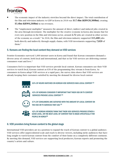

- The economic impact of the industry stretches beyond the direct impact. The total contribution of the film and television industry to GDP in Korea in 2018 was \$17.4bn (KRW20,300bn), creating \$5.4bn (KRW6,260bn) in tax revenues.
- The "employment multiplier" measures the amount of direct, indirect and induced jobs created in the area through investment. The multiplier for the creative economy in Korea also means that for every new position in the film and television sector, around 2.72 jobs are created in other sectors of the economy as a result.<sup>20</sup> In 2018, the film and television industry supported  $315,400$  jobs both directly and indirectly through supply chains, with VOD investments supporting 7,820 of them $21$

### 5. Koreans are finding the local content they demand on VOD services

Frontier Economics surveyed 1,000 internet users in Korea and found that Korean consumers demand a diverse array of content, both local and international, and that so far VOD services are delivering content consumers want and love.<sup>22</sup>

Consumers feel it is important that VOD services provide local content. Korean consumers use their VOD services to watch local, Korean content as 63% of the programming they stream is from Korea. As consumers in Korea adopt VOD services at a rapid pace, the survey data shows that VOD services are already keeping their customers satisfied by meeting the demand for diverse local content



63% OF HOURS WATCHED ON KOREAN VOD SERVICES WAS LOCAL CONTENT 23



43% OF KOREANS CONSIDER IT IMPORTANT THAT THEIR VOD OR TV CONTENT SERVICES PROVIDE LOCAL CONTENT 24



57% OF CONSUMERS ARE SATISFIED WITH THE AMOUNT OF LOCAL CONTENT ON THE VOD OR TV SERVICES THEY USE 25



42% OF KOREAN VIEWERS THINK THAT THEIR VOD SERVICES PROVIDE EITHER A GOOD LEVEL, OR THE BEST LEVEL OF CONTENT THAT IS MADE SPECIFICALLY FOR PFOPLE IN KORFA26

### 6. VOD providers bring Korean content to the global stage

International VOD providers are in a position to expand the reach of Korean content to a global audience. VOD services offer unprecedented scale and reach to diverse viewers, including niche audiences that have long sought to watch Korean content from the comfort of their home on a completely different continent. By meeting this demand, VOD services are supporting local producers, Korean exports and promoting the country's artists and culture.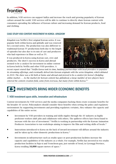

In addition, VOD services can support hallyu and increase the reach and growing popularity of Korean culture around the world. VOD services will be able to continue to directly share Korean content with consumers spreading the influence of Korean culture and increasing demand for Korean products, food and clothing.

#### CASE STUDY VOD CONTENT INVESTMENT IN KOREA: KINGDOM

*Kingdom* was Netflix's first original Korean series. It was popular both within Korea and globally and was renewed for a second series. The production was also different to traditional Korean TV productions both due to the length of episodes but also due to its mix of cast and producers who had experience in films as well as TV.

It was produced in Korea using Korean cast, crew and producers. The show's success in Korea and abroad seemed to be a catalyst for investment in online content in Korea both by Netflix and other VOD providers. A



recent report stated that "*Netflix Korea took its time, building partnerships with local providers to populate its streaming offerings, and eventually delved into Korean originals with the series Kingdom, which debuted in 2019. The show was a hit both at home and abroad and proved to be a catalyst for Korea's fledgling online market*. … *As the market for Korean content has globalized, a large number of new players have entered the content creation field, some from overseas, but many from within Korea*." 27

### **B INVESTMENTS BRING WIDER ECONOMIC BENEFITS**

### 7. VOD investment spurs skills, innovation and infrastructure

Content investments by VOD services and the media companies backing them create economic benefits for the broader AV sector. Policymakers should consider these benefits when setting the policy and regulatory environment: by supporting investments and providing regulatory certainty, they enhance the capacity and capabilities of the entire sector.

- Investment by VOD providers in training and skills ripples through the AV industry as highly proficient workers shift jobs and collaborate with others. The spillover effects have been found to increase with the size of investment.<sup>28</sup> Netflix is working in partnership with the Korean Animation Producers Association to run workshops aiming to improve the film and writing skills of locals.<sup>29</sup>
- Innovations introduced to Korea on the back of inward investment will diffuse around the industry and be taken up by other domestic productions in Korea.<sup>30</sup>
- Investments in infrastructure such as studio space or post-production facilities increase the capacity and capabilities of the industry as a whole. For example, Netflix has invested in two studio production facilities in Paju-si and Yeoncheon-gun, just outside of Seoul, in Gyeonggi Province, Korea totalling  $16,000$  square meters of space.<sup>31</sup>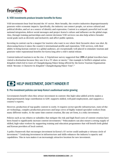

### 8. VOD investments produce broader benefits for Korea

VOD investments bear fruit beyond the AV sector. More broadly, the creative industries disproportionately generate wider economic impacts. Specifically, the industry can connect people, cut across cultural and political divides, and act as a source of identity and expression. Content is a uniquely powerful tool to aid national integration, deliver social messages and project Korea's culture and influence on the global stage. Also, through training partnerships and content decisions VOD services can also help achieve broader social goals such as diversity and inclusivity and affect public opinion.

Investing in content can be a magnet for tourists who want to see where their favourite show was shot. By showcasing Korea it raises the country's international profile and reputation. VOD services, with their ability to bring Korean content to a global audience, are exceptionally well placed to stimulate tourism and generate wider reputational benefits for Korea long after a title's initial release.

Content-induced tourism is on the rise. A TripAdvisor survey suggested that 20% of global travellers have visited a destination because they saw it in a TV show or movie.<sup>32</sup> One example is Netflix's original series *Kingdom* which led to tours of Changdeokgung Palace being offered by the Korea Tourism Organisation titled: 'Become A Character In *Kingdom*" Changdeokgung Palace Tour'.<sup>33</sup>

## **HELP INVESTMENT, DON'T HINDER IT**

### 9. Pro-investment policies can keep Korea's audiovisual sector growing

Governments benefit when they attract investment in content: this high-value-added activity makes a disproportionately large contribution to GDP, supports skilled, well-paid employment, and supports a country's exports.

However, production of top-quality content is costly. It requires sector-specific infrastructure, state-of-theart technology, complex production processes and large crews of highly trained specialist workers from many different trades. At the same time content creation, like any art form, is a risky investment.

Policies such as tax rebates or subsidies that mitigate the risk and high fixed costs of content creation have been found to significantly increase content investments. <sup>34</sup> Policymakers can also ensure a strong supply of skilled, high-value workers by supporting training and education programmes that will benefit both global and Korean providers of local content.

A policy framework that encourages investment in Korea's AV sector could underpin a virtuous circle of investment. <sup>35</sup> Catalysing investment in infrastructure and skills enhances the industry's capacity and capabilities. This in turn makes it an increasingly attractive location for new investment.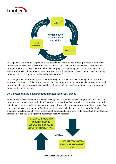



These policies can nurture the growth of self-sustaining "creative hubs of local production" with firms incentivised to locate and concentrate activities in Korea to the benefit of the country's economy. For example in Korea, Netflix's Post-Production Partner program is profiting post-production firms such as Adone Studio. The collaborative scheme aims to improve the quality of post-production work including dubbing, audio description, scripting, and quality control.<sup>36</sup>

In Korea, policies that discourage or constrain foreign investment and market entry can disrupt this virtuous cycle. Instead of the local AV sector enjoying rising investment, cutting-edge infrastructure and ever-higher skill levels, protectionism and heavy-handed policies may hamper innovation and growth opportunities in the long run.

### 10. Our research finds that protectionism reduces audiovisual exports

Protectionist policies intended to shield local companies from international competition could result in local industries that are inward-looking, less innovative and less able to produce high-quality content that is in demand internationally. Many countries have cultural policies aimed at promoting local content, but some come at a cost and prove ineffective at achieving the goals they pursue. Our analysis, which examined the relationship between protectionist policies and audiovisual trade, found that higher levels of protectionist policies are *negatively* associated with AV exports. 37

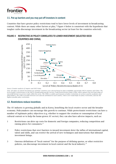

### 11. Put up barriers and you may put off investors in content

Countries that have greater policy restrictions tend to have lower levels of investment in broadcasting content. While there are many other factors at play, <sup>38</sup> Figure 4 below is consistent with the hypothesis that tougher curbs discourage investment in the broadcasting sector (at least for the countries selected).

### FIGURE 4 RESTRICTIVE AV POLICY CORRELATES TO LOWER INVESTMENT (SELECTED OECD COUNTRIES AND CHINA)



*Source: Frontier analysis of Ampere and OECD data*

*Note: All values of content investment are nominal. Countries were selected based on data availability and include OECD countries and China. The level of policy restrictiveness is the OECD's broadcasting-specific Services Trade Restrictiveness Index (STRI), which captures the level and range of non-tariff barriers in services trade within the sector. The STRI is a widely used measure of policy restrictions on services used by academics and policymakers. The STRI is an index between zero and one attributed to each country, where zero would imply no policy restrictions, and one the highest possible policy restrictions.* 

### 12. Restrictions reduce incentives

The AV industry is growing globally and in Korea, benefiting the local creative sector and the broader economy. Policymakers can encourage this growth to continue. While protectionist restrictions can have a number of legitimate policy objectives (e.g. whether to support the creation or consumption of local cultural content or to help the home-grown AV sector), they can also have adverse impacts, such as:

- 1 Restrictions can drive up costs for domestic and foreign companies, reducing competition and raising prices for consumers.<sup>39</sup>
- 2 Policy restrictions that erect barriers to inward investment deter the influx of international capital, talent and skills, and can restrict the arrival of new techniques and innovations that inbound investment brings.
- 3 Onerous definitions of "local content" for the purpose of defining quotas, or other restrictive policies, can discourage investment in local content and the local industry.<sup>40</sup>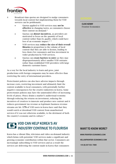

- 4 Broadcast-time quotas are designed to nudge consumers towards local content but implementing them for VOD services can be problematic.
	- Quotas applied to VOD services may not be effective in changing tastes, as consumers choose their content on demand.<sup>41</sup>
	- Quotas can distort incentives, as providers are motivated to focus on the *quantity* of local content rather than its *quality,* which could have less of an economic impact.<sup>42</sup> <sup>43</sup>
	- VOD services may reduce the size of their overall libraries in proportion to the volume of local content that they are able to license, leading to less choice for consumers and less investment in wider production by VOD services.
	- Quotas can create barriers to entry as they may disproportionately affect smaller VOD entrants rather than established VOD providers with large domestic customer bases.

As a way for the local industry to learn and grow, joint productions with foreign companies may be more effective than restricting the entry of international providers.

Protectionist policies can also have adverse impacts through increase costs, restricting investment and ultimately limit the content available to local consumers, with potentially further negative consequences for the creative industries in Korea. Some protectionist policies may have the unintended effect of increasing levels of piracy. Piracy drains a market's audiovisual economy through reducing the returns on investment, reducing the incentives of creatives to innovate and produce new content and it reduces government tax revenue as legitimate business revenue streams are hit. 17% of VOD users in Korea have said that they would watch or download VOD content from unauthorised services if it was not otherwise available, to the detriment of both the country's economy and its culture. 44

### VOD CAN HELP KOREA'S AV INDUSTRY CONTINUE TO FLOURISH

Korea has a vibrant film, television and video on-demand industry which brims with potential. VOD services make a significant and growing economic contribution within that sector. Consumers are increasingly subscribing to VOD services and as a result the services are delivering the content made in Korea that consumers

CLIVE KENNY Frontier Economics

### WANT TO KNOW MORE?

WWW.FRONTIER-ECONOMICS.COM

HELLO@FRONTIER-ECONOMICS.COM

+44 (0) 207 031 7000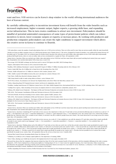

want and love. VOD services can be Korea's shop window to the world: offering international audiences the best of Korean content.

By carefully calibrating policy to incentivise investment Korea will benefit from the wider benefits such as increased employment, higher economic output, higher exports, a growing skills base, and expanding sector infrastructure. This in turn creates conditions to attract new investment. Policymakers should be mindful of potential unintended consequences of some types of protectionist policies which can reduce incentives to invest, lower economic outputs or exports; or increase piracy. By working with producers and production companies policymakers can create the right conditions to support investment which allows the creative sector in Korea to continue to flourish.

<sup>19</sup> MPA APAC, *The Economic Contribution of Film and Television in Korea in 2018*, December 2018

<sup>20</sup> Olsberg · SPI, *Global Screen Production - The Impact of Film and Television Production on Economic Recovery from COVID-19, June 2020. Estimated that the employment* multiplier for the Screen Sector Value Chain in Asia is 3.72.

<sup>21</sup> MPA APAC, *The Economic Contribution of Film and Television in Korea in 2018*, December 2018

<sup>22</sup> Kantar Survey

<sup>23</sup> Kantar Survey, Question: When you watched your Online video subscription service (VOD) last week how many hours did you spend watching local content from your country? Base: *Respondents who watched subscription VOD at least once a week (534)*

<sup>24</sup> Kantar Survey, Question: Considering all TV and video services you use, how important is it that your TV and video services provide the following types of content on a scale of 1-5? Scale; 1 = Not important to me at all, 2 = somewhat unimportant, 3 = neutral, 4 = quite important to me, 5 = Very important to me. The content types were, content that; includes people like me, represent where I live, is made in your country, is relevant to my life, is made by people from your country. The result shown here is an average across the content types. Base: *All respondents (1,006)*

<sup>25</sup> Kantar Survey, Question: *Considering all TV and video services you use, on a scale of 1-5, how satisfied are you with the amount of TV and video content that is made specifically for people in your country and in your language?* Scale; 1 = Very unsatisfied, 2 = somewhat unsatisfied, 3 = Neutral, 4 = somewhat satisfied, 5 = Very satisfied. Base: *All respondents (1,006)*

<sup>26</sup> Kantar Survey, Question: Thinking about each of the different TV and video services that you watch, how well do they provide content that is made specifically for people in your *country for example, telling stories about people in your country, or with actors or presenters from your country? Scale: 1 = Does not provide any content that is made specifically* for people in my country at all, 2 = Does not provide enough content that is made specifically for people in my country, 3 = Provides some content that is made specifically for people in my country, 4 = Provides a good level of content that is made specifically for people in my country and 5 = Provides the best possible level of content that is made specifically for people in my country. Base: *All respondents that use the services at least once every 3 months (849)*

<sup>27</sup> Korean Film Council, *Korean Streaming Market Heats Up*, February 2021

 $28$  O'Mahony, M., & Riley, R. (2012). Human capital spillovers: The importance of training. NIESR

<sup>29</sup> Fierce Video, *Hastings says Netflix has invested in 180 originals from the SE Asia region*, November 2019

<sup>30</sup> Research has shown that the companies that innovate obtain less than 10% of the total economic benefit of the innovation, with the remainder diffusing in the wider economy. (Baumol,W., (1997). Pareto Optimal Sizes of Innovation Spillovers. Working Papers 97-42, C.V. Starr Center for Applied Economics, New York University). Other research has described how the geographic clustering of media activity promotes innovation which is necessary for a successful AV sector. (Karlsson, C., & Rouchy, P. (2015). Media clusters and metropolitan knowledge economy. Handbook on the Economics of the Media.)

<sup>31</sup> Netflix, Expanding Our Presence in Korea: Netflix Welcomes the New Year With Two New Production Facilities, January 2021

<sup>&</sup>lt;sup>1</sup> VOD subscribers counts the number of paid subscriptions there are to VOD services in Korea. These are often used by more than one person usually within the same household. <sup>2</sup> Results are from an online consumer survey of 1,006 Korean internet users ("Kantar Survey"). The survey, designed by Frontier Economics, was conducted by Kantar between 30<sup>th</sup> November and 14<sup>th</sup> December 2020. See technical annex for further detail. Question: *How often do you watch Online video subscription services (VOD) which offer professionallyproduced full length movies, shows or series on online video services on demand for a regular fee?* Base: *All respondents (1,006)*

<sup>&</sup>lt;sup>3</sup> Kantar Survey, Question: When you watched your Online video subscription service (VOD) last week how many hours did you spend watching local content from your country? Base: *Respondents who watched subscription VOD at least once a week (534)*

<sup>4</sup> The average 2019 USD-KRW exchange rate has been used to convert USD figures into KRW. OECD Exchange Rates.

<sup>5</sup> Ampere, Subscription VOD revenue in 2019, extracted October 2020

<sup>6</sup> Deadline, *With Ambitious Paramount+ Launch, ViacomCBS Targets 65 Million-75 Million Streaming Subs By 2024*, February 2021

<sup>7</sup> Variety, *Inside HBO Max, the \$4 Billion Bet to Stand Out in the Streaming Wars*, May 2020

<sup>8</sup> Fortune, *Netflix will spend over \$17 billion on content in 2020: Analyst*, January 2020

<sup>9</sup> CNBC, *Netflix to spend \$500 million in Korea this year to develop new content*, February 2021

<sup>10</sup> Asia Times, *Netflix buys big into K-dramas*, January 2020

<sup>&</sup>lt;sup>11</sup> NMF. *Kana Daniel in talks to make acting debut on Disney+ series*, February 2021

<sup>12</sup> PCCW Press release, *Viu announces new Korean Viu Original drama series River Where the Moon Rises*, January 2021

<sup>&</sup>lt;sup>13</sup> Forbes, *Hong-Kong Based VIU Expands Korean Content And Invests In Adaptations*, July 2020

<sup>14</sup> Deadline, *Leading South Korean OTT Platform Content Wavve CEO Talks \$900M Originals Drive, International Roll-Out & Season 2 Of Hit Anthology Show 'SF8'*, April 2021

<sup>&</sup>lt;sup>15</sup> YonHap News Agency, *Video streaming services focus on original content in S. Korea amid new competition, January 2021* 

<sup>&</sup>lt;sup>16</sup> Olsberg · SPI, *Global Screen Production - The Impact of Film and Television Production on Economic Recovery from COVID-19, June 2020* 

<sup>&</sup>lt;sup>17</sup> MPA APAC, *The Economic Contribution of Film and Television in Korea in 2018*, December 2018

<sup>18</sup> The Korea Herald, *Do Korean streaming services stand a chance against Netflix?*, January 2021